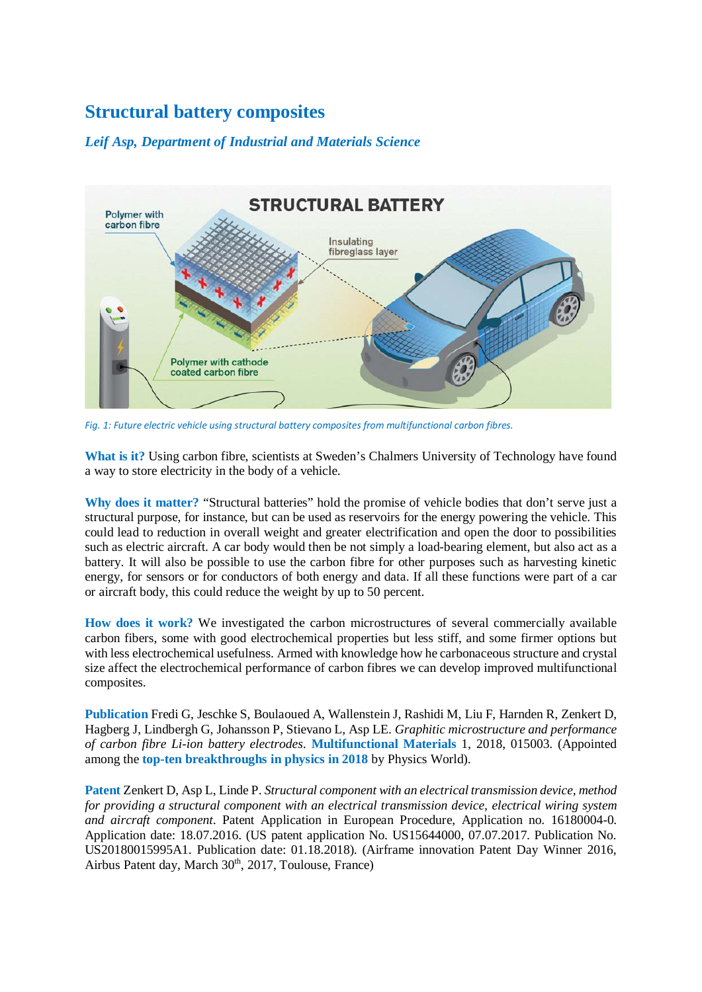## **Structural battery composites**

## *Leif Asp, Department of Industrial and Materials Science*



*Fig. 1: Future electric vehicle using structural battery composites from multifunctional carbon fibres.*

**What is it?** Using carbon fibre, scientists at Sweden's Chalmers University of Technology have found a way to store electricity in the body of a vehicle.

**Why does it matter?** "Structural batteries" hold the promise of vehicle bodies that don't serve just a structural purpose, for instance, but can be used as reservoirs for the energy powering the vehicle. This could lead to reduction in overall weight and greater electrification and open the door to possibilities such as electric aircraft. A car body would then be not simply a load-bearing element, but also act as a battery. It will also be possible to use the carbon fibre for other purposes such as harvesting kinetic energy, for sensors or for conductors of both energy and data. If all these functions were part of a car or aircraft body, this could reduce the weight by up to 50 percent.

**How does it work?** We investigated the carbon microstructures of several commercially available carbon fibers, some with good electrochemical properties but less stiff, and some firmer options but with less electrochemical usefulness. Armed with knowledge how he carbonaceous structure and crystal size affect the electrochemical performance of carbon fibres we can develop improved multifunctional composites.

**Publication** Fredi G, Jeschke S, Boulaoued A, Wallenstein J, Rashidi M, Liu F, Harnden R, Zenkert D, Hagberg J, Lindbergh G, Johansson P, Stievano L, Asp LE. *Graphitic microstructure and performance of carbon fibre Li-ion battery electrodes*. **Multifunctional Materials** 1, 2018, 015003. (Appointed among the **top-ten breakthroughs in physics in 2018** by Physics World).

**Patent** Zenkert D, Asp L, Linde P. *Structural component with an electrical transmission device, method for providing a structural component with an electrical transmission device, electrical wiring system and aircraft component*. Patent Application in European Procedure, Application no. 16180004-0. Application date: 18.07.2016. (US patent application No. US15644000, 07.07.2017. Publication No. US20180015995A1. Publication date: 01.18.2018). (Airframe innovation Patent Day Winner 2016, Airbus Patent day, March 30<sup>th</sup>, 2017, Toulouse, France)